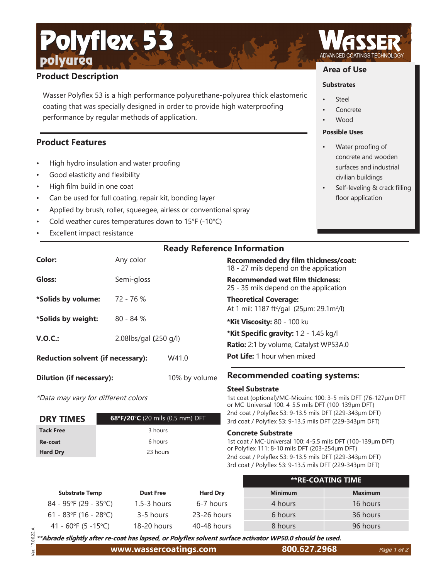# **Product Description**

polyurea

Wasser Polyflex 53 is a high performance polyurethane-polyurea thick elastomeric coating that was specially designed in order to provide high waterproofing performance by regular methods of application.

## **Product Features**

High hydro insulation and water proofing

Polyflex 53

- Good elasticity and flexibility
- High film build in one coat
- Can be used for full coating, repair kit, bonding layer
- Applied by brush, roller, squeegee, airless or conventional spray
- Cold weather cures temperatures down to  $15^{\circ}F$  (-10 $^{\circ}C$ )
- Excellent impact resistance

**Color:** Any color **Gloss:** Semi-gloss **\*Solids by volume:** 72 - 76 % **\*Solids by weight:** 80 - 84 % **V.O.C.:** 2.08lbs/gal **(**250 g/l) **Reduction solvent (if necessary):** W41.0

 $\overline{a}$ 

\*Data may vary for different colors

| <b>DRY TIMES</b> | 68°F/20°C (20 mils (0,5 mm) DFT |
|------------------|---------------------------------|
| <b>Tack Free</b> | 3 hours                         |
| Re-coat          | 6 hours                         |
| <b>Hard Dry</b>  | 23 hours                        |

**Dilution (if necessary):** 10% by volume

**Recommended dry film thickness/coat:** 18 - 27 mils depend on the application **Recommended wet film thickness:** 

25 - 35 mils depend on the application

**Theoretical Coverage:** At 1 mil: 1187 ft²/gal (25µm: 29.1m²/l)

**\*Kit Viscosity:** 80 - 100 ku

**\*Kit Specific gravity:** 1.2 - 1.45 kg/l

**Ratio:** 2:1 by volume, Catalyst WP53A.0

**Pot Life:** 1 hour when mixed

## **Recommended coating systems:**

#### **Steel Substrate**

1st coat (optional)/MC-Miozinc 100: 3-5 mils DFT (76-127µm DFT or MC-Universal 100: 4-5.5 mils DFT (100-139µm DFT) 2nd coat / Polyflex 53: 9-13.5 mils DFT (229-343um DFT) 3rd coat / Polyflex 53: 9-13.5 mils DFT (229-343um DFT)

#### **Concrete Substrate**

1st coat / MC-Universal 100: 4-5.5 mils DFT (100-139µm DFT) or Polyfl ex 111: 8-10 mils DFT (203-254µm DFT) 2nd coat / Polyflex 53: 9-13.5 mils DFT (229-343µm DFT) 3rd coat / Polyflex 53: 9-13.5 mils DFT (229-343µm DFT)

|                          |                  |                 |                | **RE-COATING TIME |
|--------------------------|------------------|-----------------|----------------|-------------------|
| <b>Substrate Temp</b>    | <b>Dust Free</b> | <b>Hard Dry</b> | <b>Minimum</b> | <b>Maximum</b>    |
| $84 - 95$ °F (29 - 35°C) | $1.5 - 3$ hours  | 6-7 hours       | 4 hours        | 16 hours          |
| 61 - 83°F (16 - 28°C)    | 3-5 hours        | 23-26 hours     | 6 hours        | 36 hours          |
| 41 - 60°F (5 -15°C)      | 18-20 hours      | $40-48$ hours   | 8 hours        | 96 hours          |

 Ver. 17.06.22.A 06.22. \*\*Abrade slightly after re-coat has lapsed, or Polyflex solvent surface activator WP50.0 should be used.

# **Area of Use**

## **Substrates**

- **Steel**
- **Concrete**
- Wood

## **Possible Uses**

- Water proofing of concrete and wooden surfaces and industrial civilian buildings
- Self-leveling & crack filling floor application